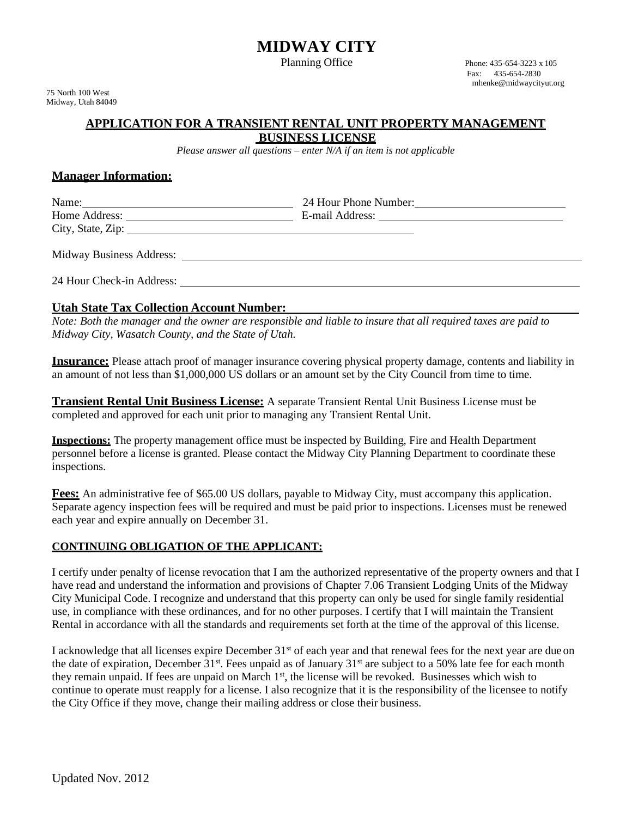# **MIDWAY CITY**

Planning Office Phone: 435-654-3223 x 105

75 North 100 West Midway, Utah 84049 Fax: 435-654-2830 [mhenke@midwaycityut.org](mailto:mhenke@midwaycityut.org)

# **APPLICATION FOR A TRANSIENT RENTAL UNIT PROPERTY MANAGEMENT**

**BUSINESS LICENSE**

*Please answer all questions – enter N/A if an item is not applicable*

# **Manager Information:**

| Name:<br>Home Address:<br>City, State, Zip: | 24 Hour Phone Number:<br>E-mail Address: |  |
|---------------------------------------------|------------------------------------------|--|
| <b>Midway Business Address:</b>             |                                          |  |

24 Hour Check-in Address:

### **Utah State Tax Collection Account Number:**

*Note: Both the manager and the owner are responsible and liable to insure that all required taxes are paid to Midway City, Wasatch County, and the State of Utah.*

**Insurance:** Please attach proof of manager insurance covering physical property damage, contents and liability in an amount of not less than \$1,000,000 US dollars or an amount set by the City Council from time to time.

**Transient Rental Unit Business License:** A separate Transient Rental Unit Business License must be completed and approved for each unit prior to managing any Transient Rental Unit.

**Inspections:** The property management office must be inspected by Building, Fire and Health Department personnel before a license is granted. Please contact the Midway City Planning Department to coordinate these inspections.

**Fees:** An administrative fee of \$65.00 US dollars, payable to Midway City, must accompany this application. Separate agency inspection fees will be required and must be paid prior to inspections. Licenses must be renewed each year and expire annually on December 31.

### **CONTINUING OBLIGATION OF THE APPLICANT:**

I certify under penalty of license revocation that I am the authorized representative of the property owners and that I have read and understand the information and provisions of Chapter 7.06 Transient Lodging Units of the Midway City Municipal Code. I recognize and understand that this property can only be used for single family residential use, in compliance with these ordinances, and for no other purposes. I certify that I will maintain the Transient Rental in accordance with all the standards and requirements set forth at the time of the approval of this license.

I acknowledge that all licenses expire December 31<sup>st</sup> of each year and that renewal fees for the next year are due on the date of expiration, December 31<sup>st</sup>. Fees unpaid as of January 31<sup>st</sup> are subject to a 50% late fee for each month they remain unpaid. If fees are unpaid on March  $1<sup>st</sup>$ , the license will be revoked. Businesses which wish to continue to operate must reapply for a license. I also recognize that it is the responsibility of the licensee to notify the City Office if they move, change their mailing address or close their business.